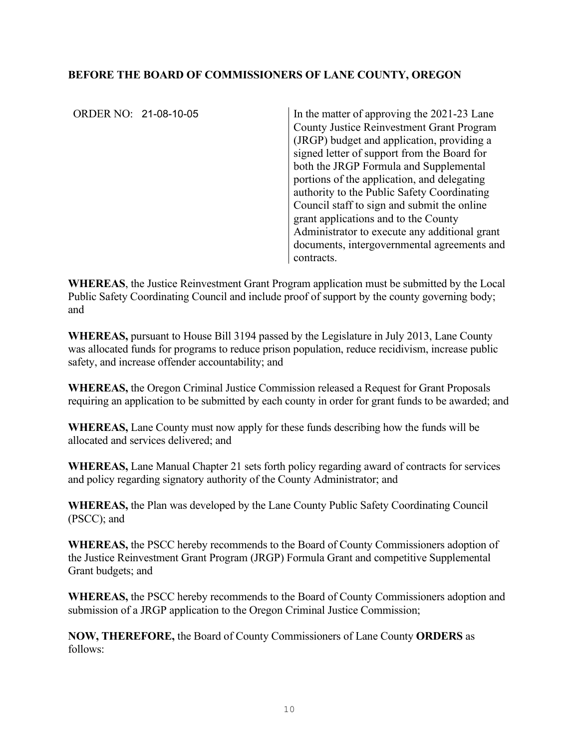## **BEFORE THE BOARD OF COMMISSIONERS OF LANE COUNTY, OREGON**

ORDER NO: 21-08-10-05

In the matter of approving the  $2021-23$  Lane County Justice Reinvestment Grant Program (JRGP) budget and application, providing a signed letter of support from the Board for both the JRGP Formula and Supplemental portions of the application, and delegating authority to the Public Safety Coordinating Council staff to sign and submit the online grant applications and to the County Administrator to execute any additional grant documents, intergovernmental agreements and contracts.

**WHEREAS**, the Justice Reinvestment Grant Program application must be submitted by the Local Public Safety Coordinating Council and include proof of support by the county governing body; and

**WHEREAS,** pursuant to House Bill 3194 passed by the Legislature in July 2013, Lane County was allocated funds for programs to reduce prison population, reduce recidivism, increase public safety, and increase offender accountability; and

**WHEREAS,** the Oregon Criminal Justice Commission released a Request for Grant Proposals requiring an application to be submitted by each county in order for grant funds to be awarded; and

**WHEREAS,** Lane County must now apply for these funds describing how the funds will be allocated and services delivered; and

**WHEREAS,** Lane Manual Chapter 21 sets forth policy regarding award of contracts for services and policy regarding signatory authority of the County Administrator; and

**WHEREAS,** the Plan was developed by the Lane County Public Safety Coordinating Council (PSCC); and

**WHEREAS,** the PSCC hereby recommends to the Board of County Commissioners adoption of the Justice Reinvestment Grant Program (JRGP) Formula Grant and competitive Supplemental Grant budgets; and

**WHEREAS,** the PSCC hereby recommends to the Board of County Commissioners adoption and submission of a JRGP application to the Oregon Criminal Justice Commission;

**NOW, THEREFORE,** the Board of County Commissioners of Lane County **ORDERS** as follows: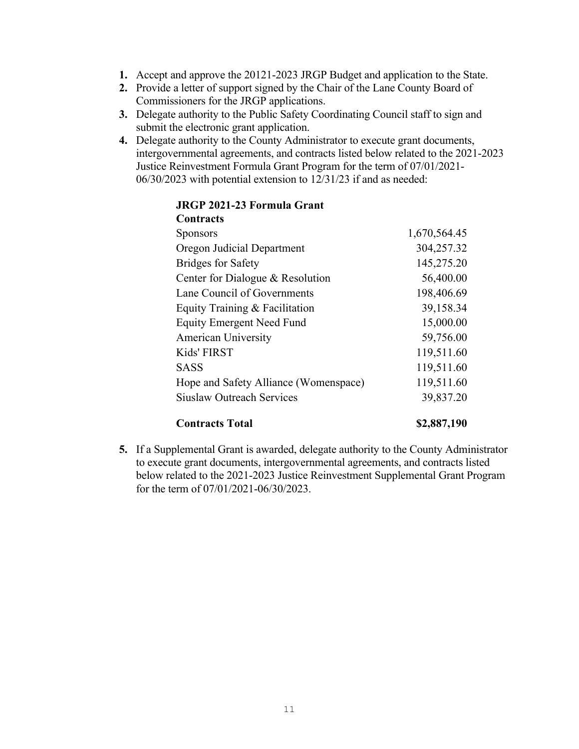- **1.** Accept and approve the 20121-2023 JRGP Budget and application to the State.
- **2.** Provide a letter of support signed by the Chair of the Lane County Board of Commissioners for the JRGP applications.
- **3.** Delegate authority to the Public Safety Coordinating Council staff to sign and submit the electronic grant application.
- **4.** Delegate authority to the County Administrator to execute grant documents, intergovernmental agreements, and contracts listed below related to the 2021-2023 Justice Reinvestment Formula Grant Program for the term of 07/01/2021- 06/30/2023 with potential extension to 12/31/23 if and as needed:

#### **JRGP 2021-23 Formula Grant Contracts**

| <b>Contracts Total</b>                | \$2,887,190  |
|---------------------------------------|--------------|
| <b>Siuslaw Outreach Services</b>      | 39,837.20    |
| Hope and Safety Alliance (Womenspace) | 119,511.60   |
| <b>SASS</b>                           | 119,511.60   |
| Kids' FIRST                           | 119,511.60   |
| <b>American University</b>            | 59,756.00    |
| <b>Equity Emergent Need Fund</b>      | 15,000.00    |
| Equity Training & Facilitation        | 39,158.34    |
| Lane Council of Governments           | 198,406.69   |
| Center for Dialogue & Resolution      | 56,400.00    |
| <b>Bridges for Safety</b>             | 145,275.20   |
| Oregon Judicial Department            | 304,257.32   |
| <b>Sponsors</b>                       | 1,670,564.45 |
|                                       |              |

### **5.** If a Supplemental Grant is awarded, delegate authority to the County Administrator to execute grant documents, intergovernmental agreements, and contracts listed below related to the 2021-2023 Justice Reinvestment Supplemental Grant Program for the term of 07/01/2021-06/30/2023.